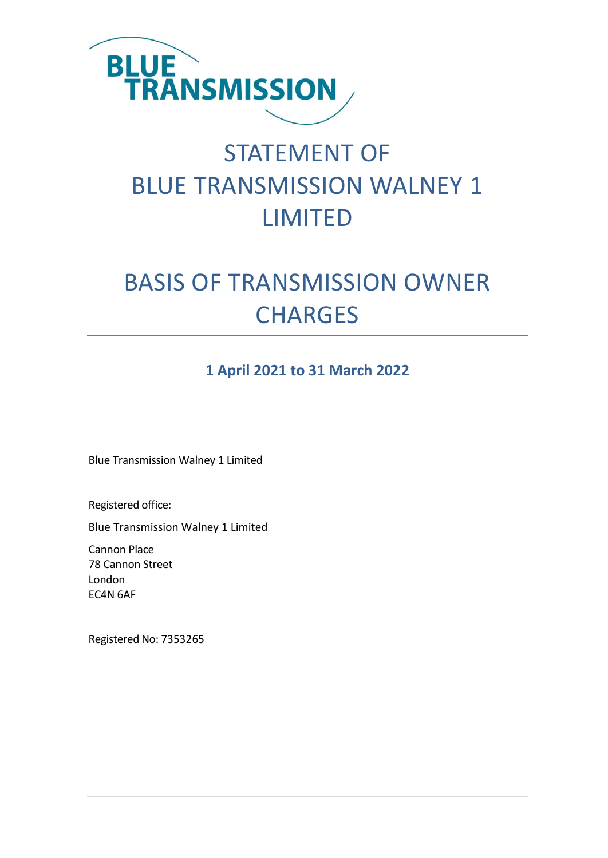

# STATEMENT OF BLUE TRANSMISSION WALNEY 1 LIMITED

# BASIS OF TRANSMISSION OWNER **CHARGES**

### **1 April 2021 to 31 March 2022**

Blue Transmission Walney 1 Limited

Registered office:

Blue Transmission Walney 1 Limited

Cannon Place 78 Cannon Street London EC4N 6AF

Registered No: 7353265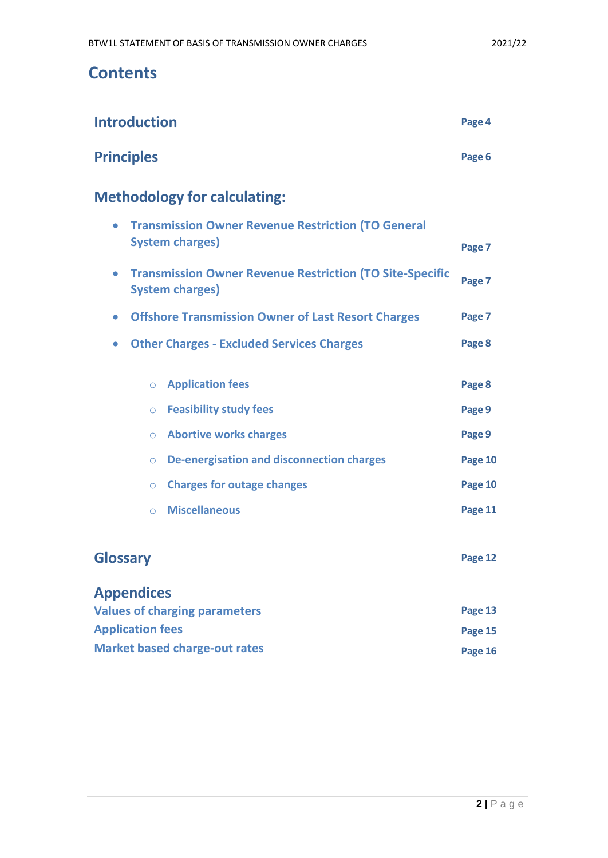## **Contents**

| <b>Introduction</b>                                                                                    | Page 4  |
|--------------------------------------------------------------------------------------------------------|---------|
| <b>Principles</b>                                                                                      | Page 6  |
| <b>Methodology for calculating:</b>                                                                    |         |
| <b>Transmission Owner Revenue Restriction (TO General</b><br>$\bullet$<br><b>System charges)</b>       | Page 7  |
| <b>Transmission Owner Revenue Restriction (TO Site-Specific</b><br>$\bullet$<br><b>System charges)</b> | Page 7  |
| <b>Offshore Transmission Owner of Last Resort Charges</b><br>$\bullet$                                 | Page 7  |
| <b>Other Charges - Excluded Services Charges</b><br>$\bullet$                                          | Page 8  |
| <b>Application fees</b><br>$\circ$                                                                     | Page 8  |
| <b>Feasibility study fees</b><br>$\circ$                                                               | Page 9  |
| <b>Abortive works charges</b><br>$\circ$                                                               | Page 9  |
| <b>De-energisation and disconnection charges</b><br>$\circ$                                            | Page 10 |
| <b>Charges for outage changes</b><br>$\circ$                                                           | Page 10 |
| <b>Miscellaneous</b><br>$\circ$                                                                        | Page 11 |
| <b>Glossary</b>                                                                                        | Page 12 |
| <b>Appendices</b>                                                                                      |         |

| <b>Values of charging parameters</b> | Page 13 |
|--------------------------------------|---------|
| <b>Application fees</b>              | Page 15 |
| <b>Market based charge-out rates</b> | Page 16 |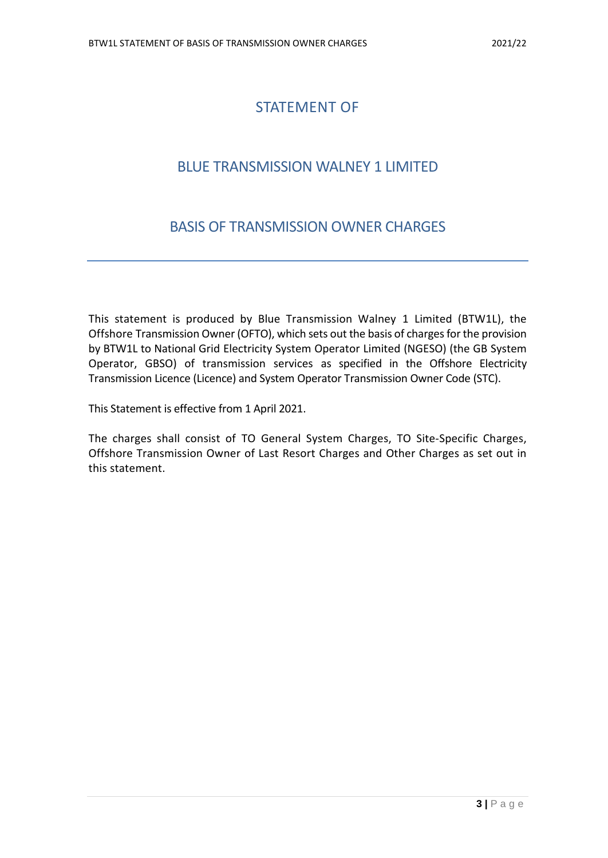### STATEMENT OF

### BLUE TRANSMISSION WALNEY 1 LIMITED

### BASIS OF TRANSMISSION OWNER CHARGES

This statement is produced by Blue Transmission Walney 1 Limited (BTW1L), the Offshore Transmission Owner (OFTO), which sets out the basis of charges for the provision by BTW1L to National Grid Electricity System Operator Limited (NGESO) (the GB System Operator, GBSO) of transmission services as specified in the Offshore Electricity Transmission Licence (Licence) and System Operator Transmission Owner Code (STC).

This Statement is effective from 1 April 2021.

The charges shall consist of TO General System Charges, TO Site-Specific Charges, Offshore Transmission Owner of Last Resort Charges and Other Charges as set out in this statement.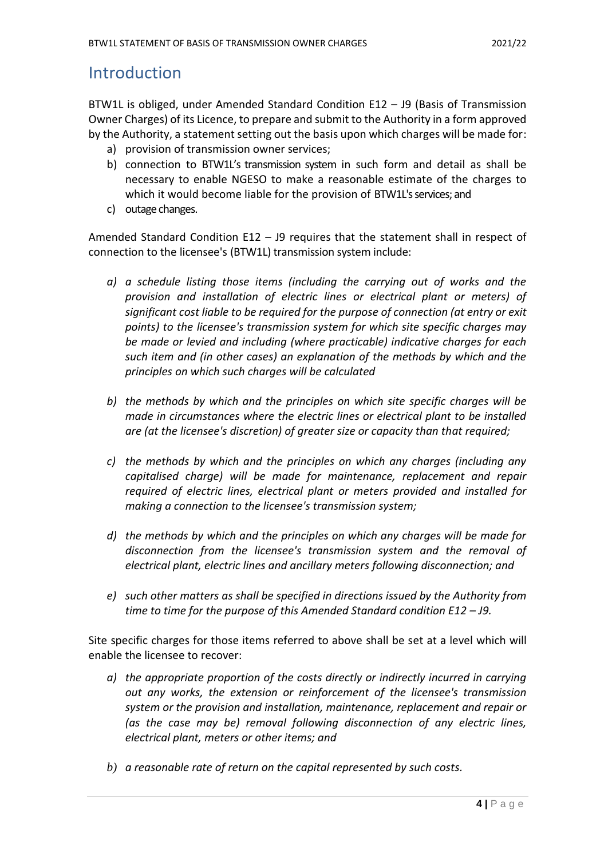### **Introduction**

BTW1L is obliged, under Amended Standard Condition E12 – J9 (Basis of Transmission Owner Charges) of its Licence, to prepare and submit to the Authority in a form approved by the Authority, a statement setting out the basis upon which charges will be made for:

- a) provision of transmission owner services;
- b) connection to BTW1L's transmission system in such form and detail as shall be necessary to enable NGESO to make a reasonable estimate of the charges to which it would become liable for the provision of BTW1L's services; and
- c) outage changes.

Amended Standard Condition E12 – J9 requires that the statement shall in respect of connection to the licensee's (BTW1L) transmission system include:

- *a) a schedule listing those items (including the carrying out of works and the provision and installation of electric lines or electrical plant or meters) of significant cost liable to be required for the purpose of connection (at entry or exit points) to the licensee's transmission system for which site specific charges may be made or levied and including (where practicable) indicative charges for each such item and (in other cases) an explanation of the methods by which and the principles on which such charges will be calculated*
- *b) the methods by which and the principles on which site specific charges will be made in circumstances where the electric lines or electrical plant to be installed are (at the licensee's discretion) of greater size or capacity than that required;*
- *c) the methods by which and the principles on which any charges (including any capitalised charge) will be made for maintenance, replacement and repair required of electric lines, electrical plant or meters provided and installed for making a connection to the licensee's transmission system;*
- *d) the methods by which and the principles on which any charges will be made for disconnection from the licensee's transmission system and the removal of electrical plant, electric lines and ancillary meters following disconnection; and*
- *e) such other matters as shall be specified in directions issued by the Authority from time to time for the purpose of this Amended Standard condition E12 – J9.*

Site specific charges for those items referred to above shall be set at a level which will enable the licensee to recover:

- *a) the appropriate proportion of the costs directly or indirectly incurred in carrying out any works, the extension or reinforcement of the licensee's transmission system or the provision and installation, maintenance, replacement and repair or (as the case may be) removal following disconnection of any electric lines, electrical plant, meters or other items; and*
- *b) a reasonable rate of return on the capital represented by such costs.*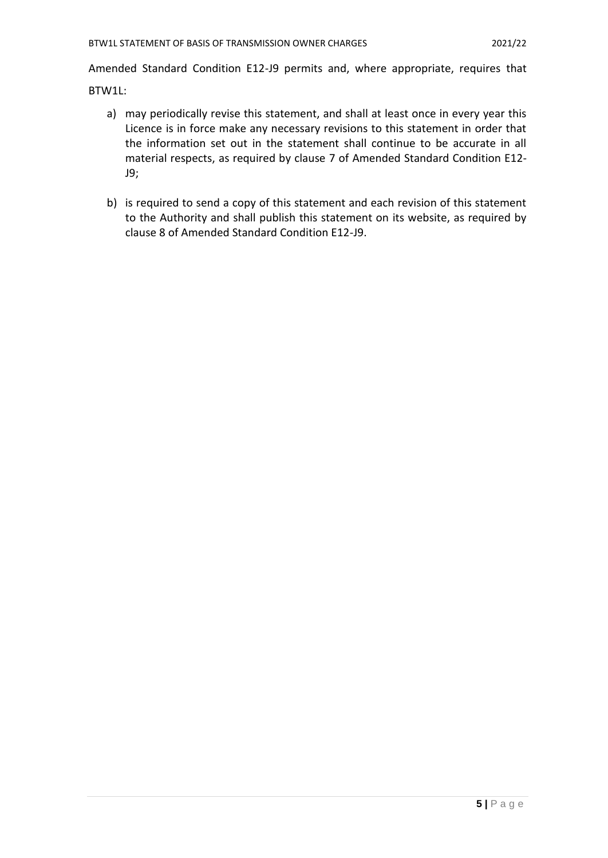Amended Standard Condition E12-J9 permits and, where appropriate, requires that

BTW1L:

- a) may periodically revise this statement, and shall at least once in every year this Licence is in force make any necessary revisions to this statement in order that the information set out in the statement shall continue to be accurate in all material respects, as required by clause 7 of Amended Standard Condition E12- J9;
- b) is required to send a copy of this statement and each revision of this statement to the Authority and shall publish this statement on its website, as required by clause 8 of Amended Standard Condition E12-J9.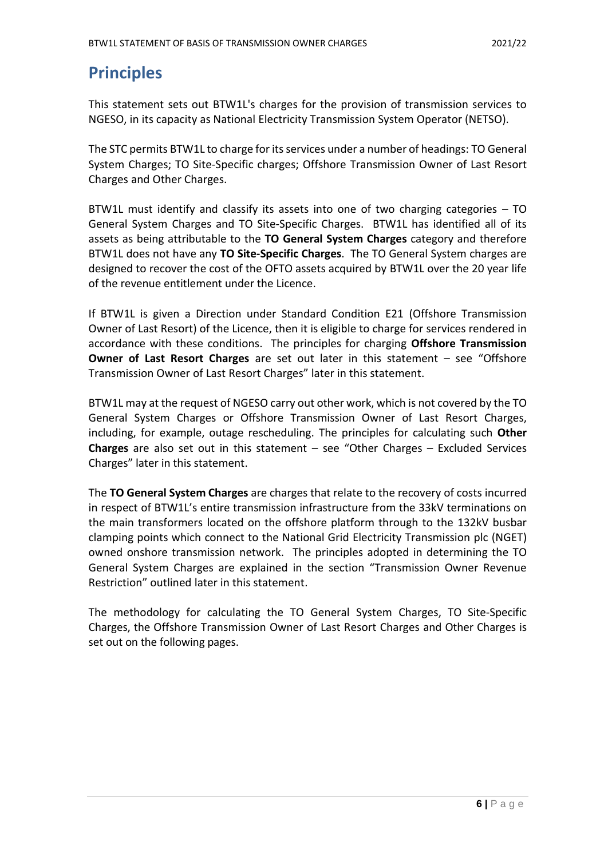## **Principles**

This statement sets out BTW1L's charges for the provision of transmission services to NGESO, in its capacity as National Electricity Transmission System Operator (NETSO).

The STC permits BTW1L to charge for its services under a number of headings: TO General System Charges; TO Site-Specific charges; Offshore Transmission Owner of Last Resort Charges and Other Charges.

BTW1L must identify and classify its assets into one of two charging categories – TO General System Charges and TO Site-Specific Charges. BTW1L has identified all of its assets as being attributable to the **TO General System Charges** category and therefore BTW1L does not have any **TO Site-Specific Charges**. The TO General System charges are designed to recover the cost of the OFTO assets acquired by BTW1L over the 20 year life of the revenue entitlement under the Licence.

If BTW1L is given a Direction under Standard Condition E21 (Offshore Transmission Owner of Last Resort) of the Licence, then it is eligible to charge for services rendered in accordance with these conditions. The principles for charging **Offshore Transmission Owner of Last Resort Charges** are set out later in this statement – see "Offshore Transmission Owner of Last Resort Charges" later in this statement.

BTW1L may at the request of NGESO carry out other work, which is not covered by the TO General System Charges or Offshore Transmission Owner of Last Resort Charges, including, for example, outage rescheduling. The principles for calculating such **Other Charges** are also set out in this statement – see "Other Charges – Excluded Services Charges" later in this statement.

The **TO General System Charges** are charges that relate to the recovery of costs incurred in respect of BTW1L's entire transmission infrastructure from the 33kV terminations on the main transformers located on the offshore platform through to the 132kV busbar clamping points which connect to the National Grid Electricity Transmission plc (NGET) owned onshore transmission network. The principles adopted in determining the TO General System Charges are explained in the section "Transmission Owner Revenue Restriction" outlined later in this statement.

The methodology for calculating the TO General System Charges, TO Site-Specific Charges, the Offshore Transmission Owner of Last Resort Charges and Other Charges is set out on the following pages.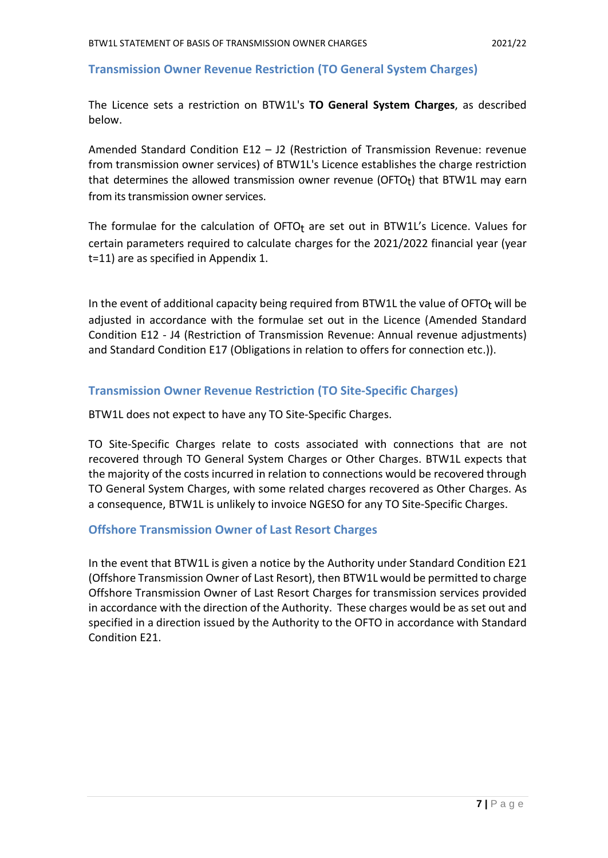#### **Transmission Owner Revenue Restriction (TO General System Charges)**

The Licence sets a restriction on BTW1L's **TO General System Charges**, as described below.

Amended Standard Condition E12 – J2 (Restriction of Transmission Revenue: revenue from transmission owner services) of BTW1L's Licence establishes the charge restriction that determines the allowed transmission owner revenue (OFTO<sub>t</sub>) that BTW1L may earn from its transmission owner services.

The formulae for the calculation of  $OFTO<sub>t</sub>$  are set out in BTW1L's Licence. Values for certain parameters required to calculate charges for the 2021/2022 financial year (year t=11) are as specified in Appendix 1.

In the event of additional capacity being required from BTW1L the value of OFTO $<sub>t</sub>$  will be</sub> adjusted in accordance with the formulae set out in the Licence (Amended Standard Condition E12 - J4 (Restriction of Transmission Revenue: Annual revenue adjustments) and Standard Condition E17 (Obligations in relation to offers for connection etc.)).

#### **Transmission Owner Revenue Restriction (TO Site-Specific Charges)**

BTW1L does not expect to have any TO Site-Specific Charges.

TO Site-Specific Charges relate to costs associated with connections that are not recovered through TO General System Charges or Other Charges. BTW1L expects that the majority of the costs incurred in relation to connections would be recovered through TO General System Charges, with some related charges recovered as Other Charges. As a consequence, BTW1L is unlikely to invoice NGESO for any TO Site-Specific Charges.

#### **Offshore Transmission Owner of Last Resort Charges**

In the event that BTW1L is given a notice by the Authority under Standard Condition E21 (Offshore Transmission Owner of Last Resort), then BTW1L would be permitted to charge Offshore Transmission Owner of Last Resort Charges for transmission services provided in accordance with the direction of the Authority. These charges would be as set out and specified in a direction issued by the Authority to the OFTO in accordance with Standard Condition E21.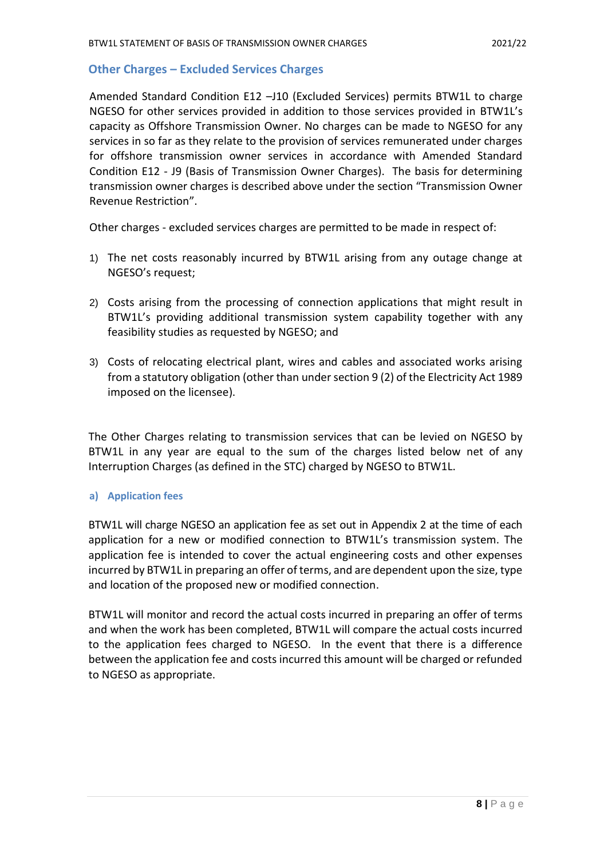#### **Other Charges – Excluded Services Charges**

Amended Standard Condition E12 –J10 (Excluded Services) permits BTW1L to charge NGESO for other services provided in addition to those services provided in BTW1L's capacity as Offshore Transmission Owner. No charges can be made to NGESO for any services in so far as they relate to the provision of services remunerated under charges for offshore transmission owner services in accordance with Amended Standard Condition E12 - J9 (Basis of Transmission Owner Charges). The basis for determining transmission owner charges is described above under the section "Transmission Owner Revenue Restriction".

Other charges - excluded services charges are permitted to be made in respect of:

- 1) The net costs reasonably incurred by BTW1L arising from any outage change at NGESO's request;
- 2) Costs arising from the processing of connection applications that might result in BTW1L's providing additional transmission system capability together with any feasibility studies as requested by NGESO; and
- 3) Costs of relocating electrical plant, wires and cables and associated works arising from a statutory obligation (other than under section 9 (2) of the Electricity Act 1989 imposed on the licensee).

The Other Charges relating to transmission services that can be levied on NGESO by BTW1L in any year are equal to the sum of the charges listed below net of any Interruption Charges (as defined in the STC) charged by NGESO to BTW1L.

#### **a) Application fees**

BTW1L will charge NGESO an application fee as set out in Appendix 2 at the time of each application for a new or modified connection to BTW1L's transmission system. The application fee is intended to cover the actual engineering costs and other expenses incurred by BTW1L in preparing an offer of terms, and are dependent upon the size, type and location of the proposed new or modified connection.

BTW1L will monitor and record the actual costs incurred in preparing an offer of terms and when the work has been completed, BTW1L will compare the actual costs incurred to the application fees charged to NGESO. In the event that there is a difference between the application fee and costs incurred this amount will be charged or refunded to NGESO as appropriate.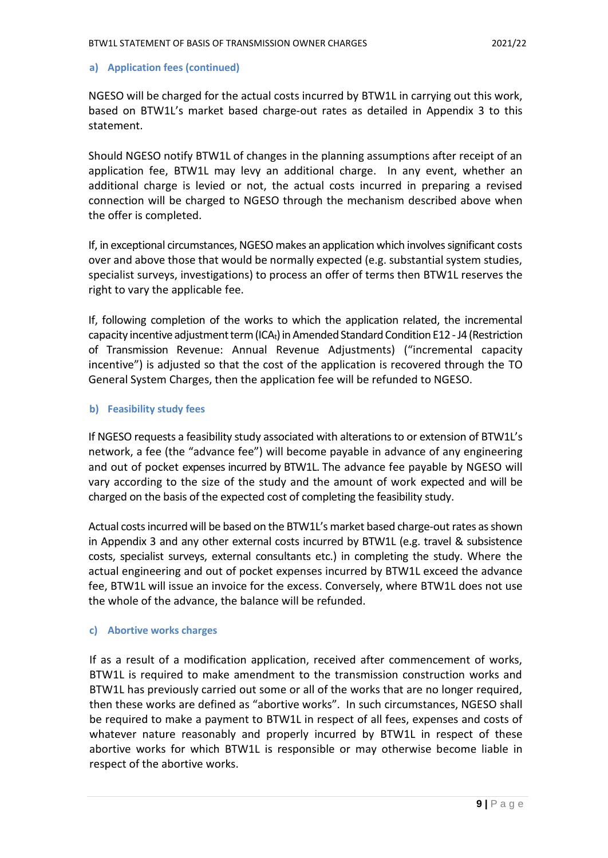#### **a) Application fees (continued)**

NGESO will be charged for the actual costs incurred by BTW1L in carrying out this work, based on BTW1L's market based charge-out rates as detailed in Appendix 3 to this statement.

Should NGESO notify BTW1L of changes in the planning assumptions after receipt of an application fee, BTW1L may levy an additional charge. In any event, whether an additional charge is levied or not, the actual costs incurred in preparing a revised connection will be charged to NGESO through the mechanism described above when the offer is completed.

If, in exceptional circumstances, NGESO makes an application which involves significant costs over and above those that would be normally expected (e.g. substantial system studies, specialist surveys, investigations) to process an offer of terms then BTW1L reserves the right to vary the applicable fee.

If, following completion of the works to which the application related, the incremental capacity incentive adjustment term (ICA<sub>t</sub>) in Amended Standard Condition E12 - J4 (Restriction of Transmission Revenue: Annual Revenue Adjustments) ("incremental capacity incentive") is adjusted so that the cost of the application is recovered through the TO General System Charges, then the application fee will be refunded to NGESO.

#### **b) Feasibility study fees**

If NGESO requests a feasibility study associated with alterations to or extension of BTW1L's network, a fee (the "advance fee") will become payable in advance of any engineering and out of pocket expenses incurred by BTW1L. The advance fee payable by NGESO will vary according to the size of the study and the amount of work expected and will be charged on the basis of the expected cost of completing the feasibility study.

Actual costs incurred will be based on the BTW1L's market based charge-out rates as shown in Appendix 3 and any other external costs incurred by BTW1L (e.g. travel & subsistence costs, specialist surveys, external consultants etc.) in completing the study. Where the actual engineering and out of pocket expenses incurred by BTW1L exceed the advance fee, BTW1L will issue an invoice for the excess. Conversely, where BTW1L does not use the whole of the advance, the balance will be refunded.

#### **c) Abortive works charges**

If as a result of a modification application, received after commencement of works, BTW1L is required to make amendment to the transmission construction works and BTW1L has previously carried out some or all of the works that are no longer required, then these works are defined as "abortive works". In such circumstances, NGESO shall be required to make a payment to BTW1L in respect of all fees, expenses and costs of whatever nature reasonably and properly incurred by BTW1L in respect of these abortive works for which BTW1L is responsible or may otherwise become liable in respect of the abortive works.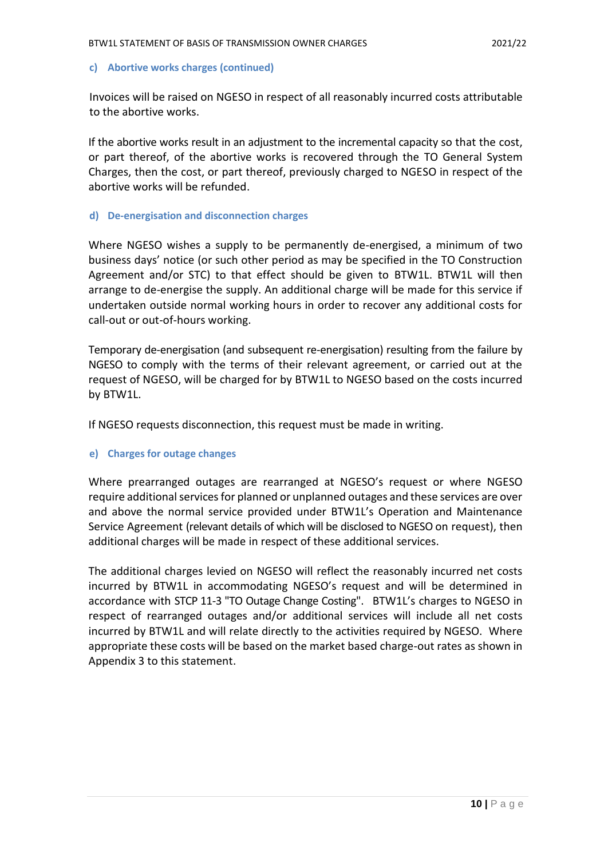#### **c) Abortive works charges (continued)**

Invoices will be raised on NGESO in respect of all reasonably incurred costs attributable to the abortive works.

If the abortive works result in an adjustment to the incremental capacity so that the cost, or part thereof, of the abortive works is recovered through the TO General System Charges, then the cost, or part thereof, previously charged to NGESO in respect of the abortive works will be refunded.

#### **d) De-energisation and disconnection charges**

Where NGESO wishes a supply to be permanently de-energised, a minimum of two business days' notice (or such other period as may be specified in the TO Construction Agreement and/or STC) to that effect should be given to BTW1L. BTW1L will then arrange to de-energise the supply. An additional charge will be made for this service if undertaken outside normal working hours in order to recover any additional costs for call-out or out-of-hours working.

Temporary de-energisation (and subsequent re-energisation) resulting from the failure by NGESO to comply with the terms of their relevant agreement, or carried out at the request of NGESO, will be charged for by BTW1L to NGESO based on the costs incurred by BTW1L.

If NGESO requests disconnection, this request must be made in writing.

#### **e) Charges for outage changes**

Where prearranged outages are rearranged at NGESO's request or where NGESO require additional services for planned or unplanned outages and these services are over and above the normal service provided under BTW1L's Operation and Maintenance Service Agreement (relevant details of which will be disclosed to NGESO on request), then additional charges will be made in respect of these additional services.

The additional charges levied on NGESO will reflect the reasonably incurred net costs incurred by BTW1L in accommodating NGESO's request and will be determined in accordance with STCP 11-3 "TO Outage Change Costing". BTW1L's charges to NGESO in respect of rearranged outages and/or additional services will include all net costs incurred by BTW1L and will relate directly to the activities required by NGESO. Where appropriate these costs will be based on the market based charge-out rates as shown in Appendix 3 to this statement.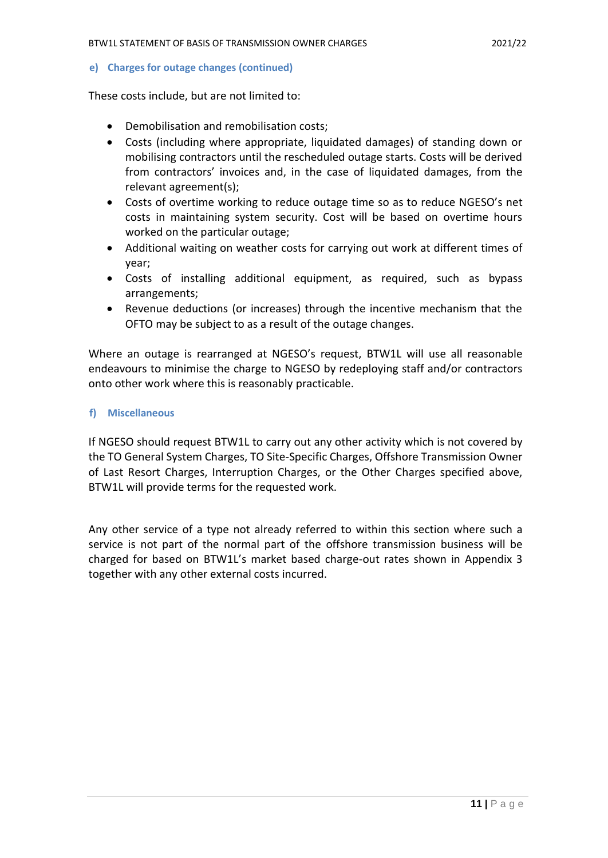**e) Charges for outage changes (continued)**

These costs include, but are not limited to:

- Demobilisation and remobilisation costs;
- Costs (including where appropriate, liquidated damages) of standing down or mobilising contractors until the rescheduled outage starts. Costs will be derived from contractors' invoices and, in the case of liquidated damages, from the relevant agreement(s);
- Costs of overtime working to reduce outage time so as to reduce NGESO's net costs in maintaining system security. Cost will be based on overtime hours worked on the particular outage;
- Additional waiting on weather costs for carrying out work at different times of year;
- Costs of installing additional equipment, as required, such as bypass arrangements;
- Revenue deductions (or increases) through the incentive mechanism that the OFTO may be subject to as a result of the outage changes.

Where an outage is rearranged at NGESO's request, BTW1L will use all reasonable endeavours to minimise the charge to NGESO by redeploying staff and/or contractors onto other work where this is reasonably practicable.

#### **f) Miscellaneous**

If NGESO should request BTW1L to carry out any other activity which is not covered by the TO General System Charges, TO Site-Specific Charges, Offshore Transmission Owner of Last Resort Charges, Interruption Charges, or the Other Charges specified above, BTW1L will provide terms for the requested work.

Any other service of a type not already referred to within this section where such a service is not part of the normal part of the offshore transmission business will be charged for based on BTW1L's market based charge-out rates shown in Appendix 3 together with any other external costs incurred.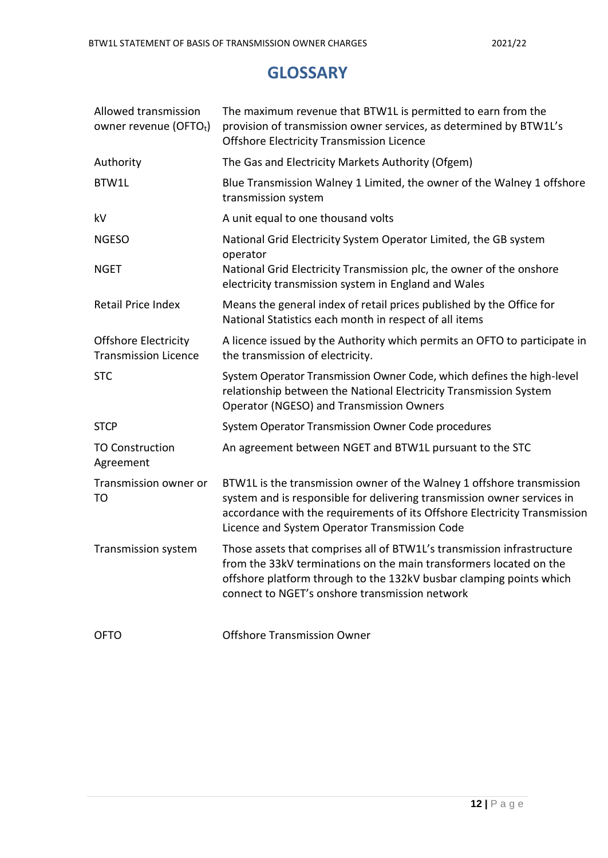### **GLOSSARY**

| Allowed transmission<br>owner revenue (OFTOt)              | The maximum revenue that BTW1L is permitted to earn from the<br>provision of transmission owner services, as determined by BTW1L's<br><b>Offshore Electricity Transmission Licence</b>                                                                                         |
|------------------------------------------------------------|--------------------------------------------------------------------------------------------------------------------------------------------------------------------------------------------------------------------------------------------------------------------------------|
| Authority                                                  | The Gas and Electricity Markets Authority (Ofgem)                                                                                                                                                                                                                              |
| BTW1L                                                      | Blue Transmission Walney 1 Limited, the owner of the Walney 1 offshore<br>transmission system                                                                                                                                                                                  |
| kV                                                         | A unit equal to one thousand volts                                                                                                                                                                                                                                             |
| <b>NGESO</b>                                               | National Grid Electricity System Operator Limited, the GB system<br>operator                                                                                                                                                                                                   |
| <b>NGET</b>                                                | National Grid Electricity Transmission plc, the owner of the onshore<br>electricity transmission system in England and Wales                                                                                                                                                   |
| Retail Price Index                                         | Means the general index of retail prices published by the Office for<br>National Statistics each month in respect of all items                                                                                                                                                 |
| <b>Offshore Electricity</b><br><b>Transmission Licence</b> | A licence issued by the Authority which permits an OFTO to participate in<br>the transmission of electricity.                                                                                                                                                                  |
| <b>STC</b>                                                 | System Operator Transmission Owner Code, which defines the high-level<br>relationship between the National Electricity Transmission System<br><b>Operator (NGESO) and Transmission Owners</b>                                                                                  |
| <b>STCP</b>                                                | System Operator Transmission Owner Code procedures                                                                                                                                                                                                                             |
| <b>TO Construction</b><br>Agreement                        | An agreement between NGET and BTW1L pursuant to the STC                                                                                                                                                                                                                        |
| Transmission owner or<br>TO                                | BTW1L is the transmission owner of the Walney 1 offshore transmission<br>system and is responsible for delivering transmission owner services in<br>accordance with the requirements of its Offshore Electricity Transmission<br>Licence and System Operator Transmission Code |
| Transmission system                                        | Those assets that comprises all of BTW1L's transmission infrastructure<br>from the 33kV terminations on the main transformers located on the<br>offshore platform through to the 132kV busbar clamping points which<br>connect to NGET's onshore transmission network          |
| <b>OFTO</b>                                                | <b>Offshore Transmission Owner</b>                                                                                                                                                                                                                                             |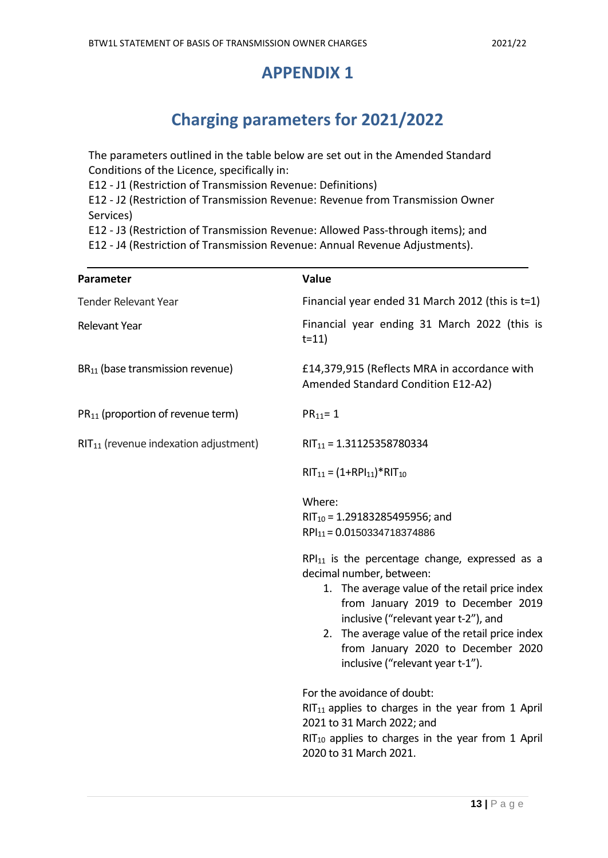### **APPENDIX 1**

# **Charging parameters for 2021/2022**

The parameters outlined in the table below are set out in the Amended Standard Conditions of the Licence, specifically in:

E12 - J1 (Restriction of Transmission Revenue: Definitions)

E12 - J2 (Restriction of Transmission Revenue: Revenue from Transmission Owner Services)

E12 - J3 (Restriction of Transmission Revenue: Allowed Pass-through items); and

E12 - J4 (Restriction of Transmission Revenue: Annual Revenue Adjustments).

| Parameter                                     | Value                                                                                                                                                                                                                                                                                                                                       |
|-----------------------------------------------|---------------------------------------------------------------------------------------------------------------------------------------------------------------------------------------------------------------------------------------------------------------------------------------------------------------------------------------------|
| <b>Tender Relevant Year</b>                   | Financial year ended 31 March 2012 (this is t=1)                                                                                                                                                                                                                                                                                            |
| Relevant Year                                 | Financial year ending 31 March 2022 (this is<br>$t = 11$                                                                                                                                                                                                                                                                                    |
| BR <sub>11</sub> (base transmission revenue)  | £14,379,915 (Reflects MRA in accordance with<br>Amended Standard Condition E12-A2)                                                                                                                                                                                                                                                          |
| PR <sub>11</sub> (proportion of revenue term) | $PR_{11} = 1$                                                                                                                                                                                                                                                                                                                               |
| $RIT11$ (revenue indexation adjustment)       | $RIT_{11} = 1.31125358780334$                                                                                                                                                                                                                                                                                                               |
|                                               | $RIT_{11} = (1+RPI_{11}) * RIT_{10}$                                                                                                                                                                                                                                                                                                        |
|                                               | Where:                                                                                                                                                                                                                                                                                                                                      |
|                                               | RIT <sub>10</sub> = 1.29183285495956; and                                                                                                                                                                                                                                                                                                   |
|                                               | $RPI_{11} = 0.0150334718374886$                                                                                                                                                                                                                                                                                                             |
|                                               | $RPI_{11}$ is the percentage change, expressed as a<br>decimal number, between:<br>1. The average value of the retail price index<br>from January 2019 to December 2019<br>inclusive ("relevant year t-2"), and<br>2. The average value of the retail price index<br>from January 2020 to December 2020<br>inclusive ("relevant year t-1"). |
|                                               | For the avoidance of doubt:<br>RIT <sub>11</sub> applies to charges in the year from 1 April<br>2021 to 31 March 2022; and<br>$RIT_{10}$ applies to charges in the year from 1 April<br>2020 to 31 March 2021.                                                                                                                              |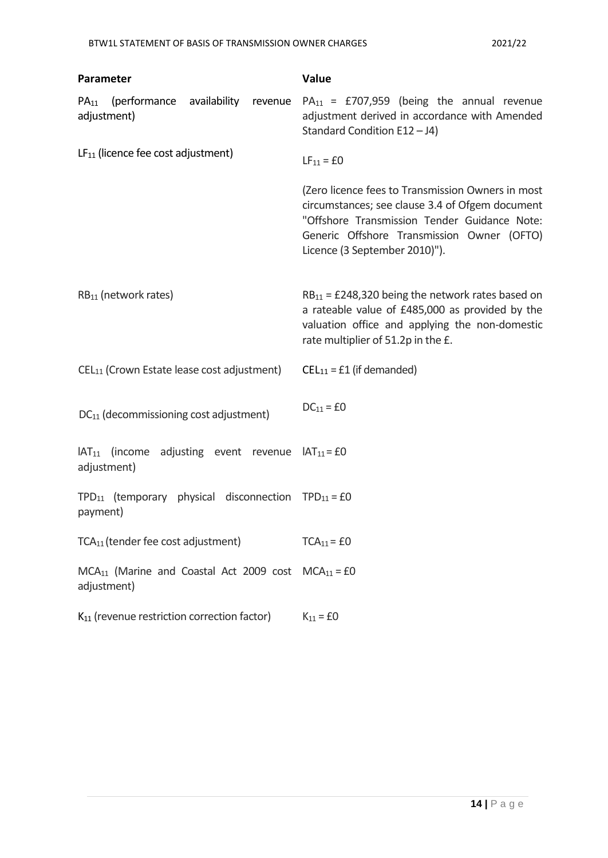| Parameter                                                                              | Value                                                                                                                                                                                                                               |
|----------------------------------------------------------------------------------------|-------------------------------------------------------------------------------------------------------------------------------------------------------------------------------------------------------------------------------------|
| (performance availability<br>$PA_{11}$<br>revenue<br>adjustment)                       | $PA_{11}$ = £707,959 (being the annual revenue<br>adjustment derived in accordance with Amended<br>Standard Condition E12-J4)                                                                                                       |
| $LF_{11}$ (licence fee cost adjustment)                                                | $LF_{11} = £0$                                                                                                                                                                                                                      |
|                                                                                        | (Zero licence fees to Transmission Owners in most<br>circumstances; see clause 3.4 of Ofgem document<br>"Offshore Transmission Tender Guidance Note:<br>Generic Offshore Transmission Owner (OFTO)<br>Licence (3 September 2010)"). |
| $RB11$ (network rates)                                                                 | $RB_{11} = \text{\textsterling}248,320$ being the network rates based on<br>a rateable value of £485,000 as provided by the<br>valuation office and applying the non-domestic<br>rate multiplier of 51.2p in the £.                 |
| CEL <sub>11</sub> (Crown Estate lease cost adjustment)                                 | $CEL_{11} = £1$ (if demanded)                                                                                                                                                                                                       |
| DC <sub>11</sub> (decommissioning cost adjustment)                                     | $DC_{11} = \pounds 0$                                                                                                                                                                                                               |
| $IAT_{11}$ (income adjusting event revenue $IAT_{11} = EO$<br>adjustment)              |                                                                                                                                                                                                                                     |
| TPD <sub>11</sub> (temporary physical disconnection TPD <sub>11</sub> = £0<br>payment) |                                                                                                                                                                                                                                     |
| TCA <sub>11</sub> (tender fee cost adjustment)                                         | $TCA11 = £0$                                                                                                                                                                                                                        |
| $MCA_{11}$ (Marine and Coastal Act 2009 cost $MCA_{11} = E0$<br>adjustment)            |                                                                                                                                                                                                                                     |
| K <sub>11</sub> (revenue restriction correction factor)                                | $K_{11} = £0$                                                                                                                                                                                                                       |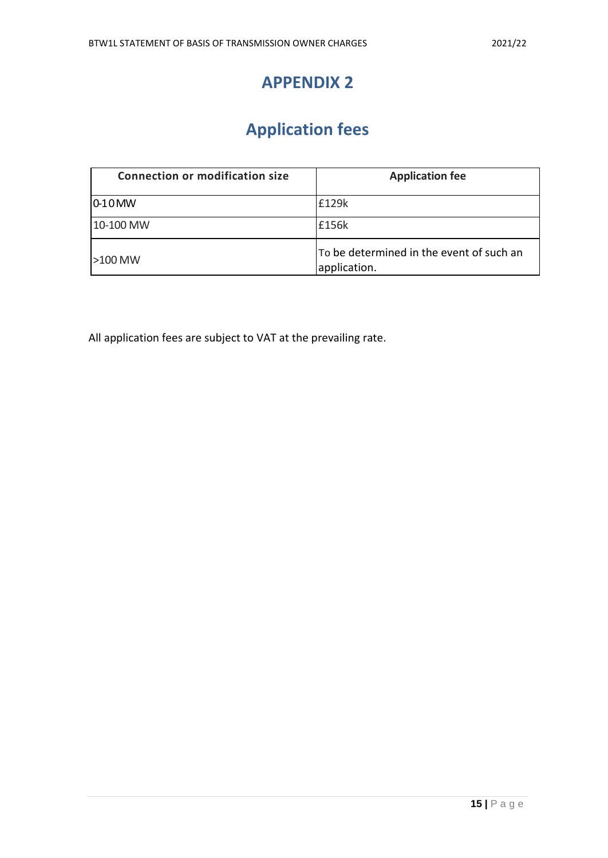### **APPENDIX 2**

# **Application fees**

| <b>Connection or modification size</b> | <b>Application fee</b>                                   |
|----------------------------------------|----------------------------------------------------------|
| $ 0-10$ MW                             | £129k                                                    |
| 10-100 MW                              | £156k                                                    |
| $ >100$ MW                             | To be determined in the event of such an<br>application. |

All application fees are subject to VAT at the prevailing rate.